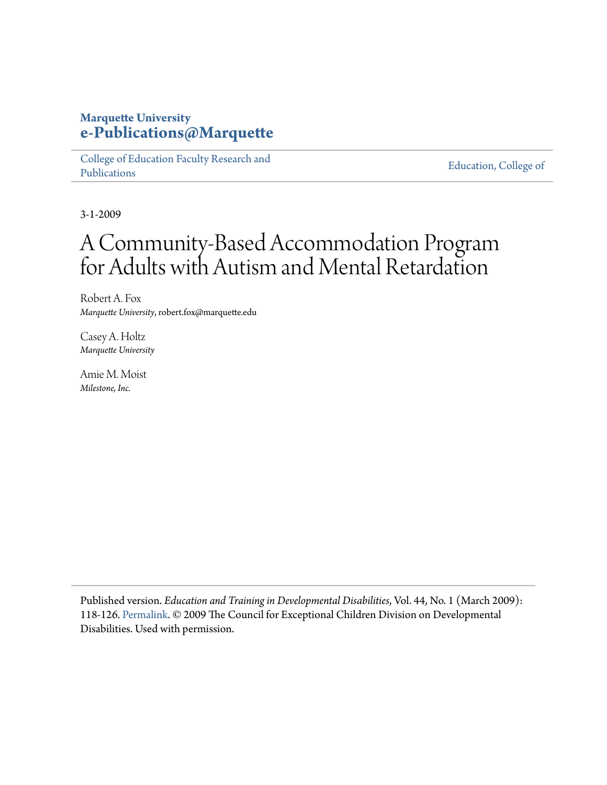# **Marquette University [e-Publications@Marquette](https://epublications.marquette.edu)**

[College of Education Faculty Research and](https://epublications.marquette.edu/edu_fac) [Publications](https://epublications.marquette.edu/edu_fac)

[Education, College of](https://epublications.marquette.edu/education)

3-1-2009

# A Community-Based Accommodation Program for Adults with Autism and Mental Retardation

Robert A. Fox *Marquette University*, robert.fox@marquette.edu

Casey A. Holtz *Marquette University*

Amie M. Moist *Milestone, Inc.*

Published version. *Education and Training in Developmental Disabilities*, Vol. 44, No. 1 (March 2009): 118-126. [Permalink](http://daddcec.org/Publications/ETADDJournal/ETDDDetailsPage/tabid/80/ArticleID/91/A-Community-Based-Accommodation-Program-for-Adults-with-Autism-and-Mental-Retardation.aspx?_ga). © 2009 The Council for Exceptional Children Division on Developmental Disabilities. Used with permission.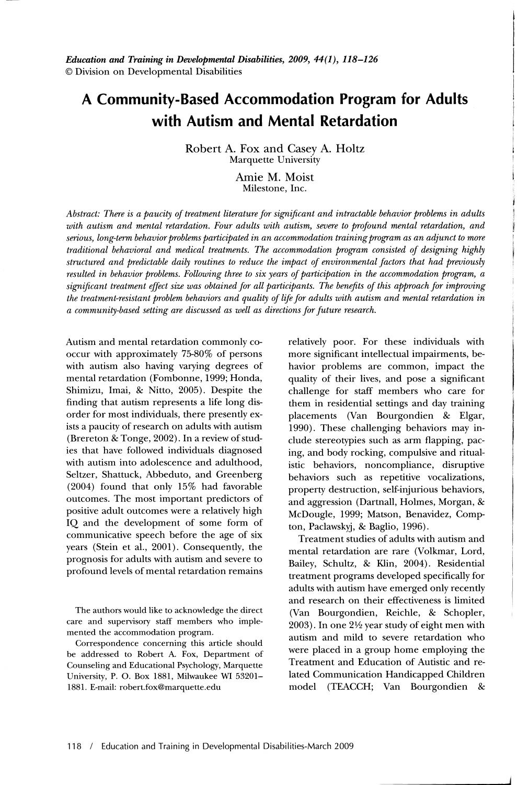# **A Community-Based Accommodation Program for Adults with Autism and Mental Retardation**

Robert A. Fox and Casey A. Holtz Marquette University

> Amie M. Moist Milestone, Inc.

*Abstract: There is a paucity of treatment literature for significant and intractable behavior problems in adults with autism and mental retardation. Four adults with autism, severe to profound mental retardation, and serious, long-term behavior problems participated in an accommodation training program as an adjunct to more traditional behavioral and medical treatments. The accommodation program consisted of designing highly structured and predictable daily routines to reduce the impact of environmental factors that had previously resulted in behavior problems. Following three to six years of participation in the accommodation program, a significant treatment effect size was obtained for all participants. The benefits of this approach for improving the treatment-resistant problem behaviors and quality of life for adults with autism and mental retardation in a community-based setting are discussed as well as directions for future research.* 

Autism and mental retardation commonly cooccur with approximately 75-80% of persons with autism also having varying degrees of mental retardation (Fombonne, 1999; Honda, Shimizu, Imai, & Nitto, 2005). Despite the finding that autism represents a life long disorder for most individuals, there presently exists a paucity of research on adults with autism (Brereton & Tonge, 2002). In a review of studies that have followed individuals diagnosed with autism into adolescence and adulthood, Seltzer, Shattuck, Abbeduto, and Greenberg (2004) found that only 15% had favorable outcomes. The most important predictors of positive adult outcomes were a relatively high IQ and the development of some form of communicative speech before the age of six years (Stein et aI., 2001). Consequently, the prognosis for adults with autism and severe to profound levels of mental retardation remains

The authors would like to acknowledge the direct care and supervisory staff members who implemented the accommodation program.

Correspondence concerning this article should be addressed to Robert A. Fox, Department of Counseling and Educational Psychology, Marquette University, P. O. Box 1881, Milwaukee WI 53201- 1881. E-mail: robert.fox@marquette.edu

relatively poor. For these individuals with more significant intellectual impairments, behavior problems are common, impact the quality of their lives, and pose a significant challenge for staff members who care for them in residential settings and day training placements (Van Bourgondien & Elgar, 1990). These challenging behaviors may include stereotypies such as arm flapping, pacing, and body rocking, compulsive and ritualistic behaviors, noncompliance, disruptive behaviors such as repetitive vocalizations, property destruction, self-injurious behaviors, and aggression (Dartnall, Holmes, Morgan, & McDougle, 1999; Matson, Benavidez, Compton, Paclawskyj, & Baglio, 1996).

Treatment studies of adults with autism and mental retardation are rare (Volkmar, Lord, Bailey, Schultz, & Klin, 2004). Residential treatment programs developed specifically for adults with autism have emerged only recently and research on their effectiveness is limited (Van Bourgondien, Reichle, & Schopler, 2003). In one  $2\frac{1}{2}$  year study of eight men with autism and mild to severe retardation who were placed in a group home employing the Treatment and Education of Autistic and related Communication Handicapped Children model (TEACCH; Van Bourgondien &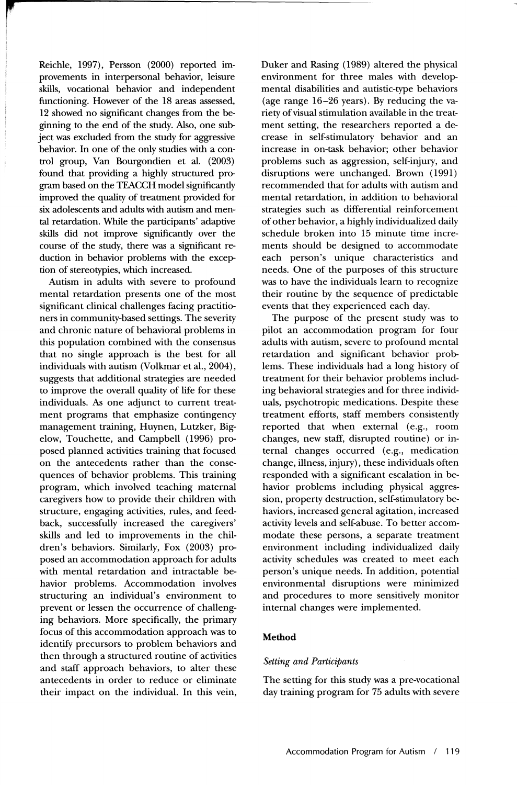**"**  Reichle, 1997), Persson (2000) reported improvements in interpersonal behavior, leisure skills, vocational behavior and independent functioning. However of the 18 areas assessed, 12 showed no significant changes from the beginning to the end of the study. Also, one subject was excluded from the study for aggressive behavior. In one of the only studies with a control group, Van Bourgondien et al. (2003) found that providing a highly structured program based on the TEACCH model significantly improved the quality of treatment provided for six adolescents and adults with autism and mental retardation. While the participants' adaptive skills did not improve significantly over the course of the study, there was a significant reduction in behavior problems with the exception of stereotypies, which increased.

,

Autism in adults with severe to profound mental retardation presents one of the most significant clinical challenges facing practitioners in community-based settings. The severity and chronic nature of behavioral problems in this population combined with the consensus that no single approach is the best for all individuals with autism (Volkmar et al., 2004), suggests that additional strategies are needed to improve the overall quality of life for these individuals. As one adjunct to current treatment programs that emphasize contingency management training, Huynen, Lutzker, Bigelow, Touchette, and Campbell (1996) proposed planned activities training that focused on the antecedents rather than the consequences of behavior problems. This training program, which involved teaching maternal caregivers how to provide their children with structure, engaging activities, rules, and feedback, successfully increased the caregivers' skills and led to improvements in the children's behaviors. Similarly, Fox (2003) proposed an accommodation approach for adults with mental retardation and intractable behavior problems. Accommodation involves structuring an individual's environment to prevent or lessen the occurrence of challenging behaviors. More specifically, the primary focus of this accommodation approach was to identify precursors to problem behaviors and then through a structured routine of activities and staff approach behaviors, to alter these antecedents in order to reduce or eliminate their impact on the individual. In this vein,

Duker and Rasing (1989) altered the physical environment for three males with developmental disabilities and autistic-type behaviors (age range 16-26 years). By reducing the variety of visual stimulation available in the treatment setting, the researchers reported a decrease in self-stimulatory behavior and an increase in on-task behavior; other behavior problems such as aggression, self-injury, and disruptions were unchanged. Brown (1991) recommended that for adults with autism and mental retardation, in addition to behavioral strategies such as differential reinforcement of other behavior, a highly individualized daily schedule broken into 15 minute time increments should be designed to accommodate each person's unique characteristics and needs. One of the purposes of this structure was to have the individuals learn to recognize their routine by the sequence of predictable events that they experienced each day.

The purpose of the present study was to pilot an accommodation program for four adults with autism, severe to profound mental retardation and significant behavior problems. These individuals had a long history of treatment for their behavior problems including behavioral strategies and for three individuals, psychotropic medications. Despite these treatment efforts, staff members consistently reported that when external (e.g., room changes, new staff, disrupted routine) or internal changes occurred (e.g., medication change, illness, injury), these individuals often responded with a significant escalation in behavior problems including physical aggression, property destruction, self-stimulatory behaviors, increased general agitation, increased activity levels and self-abuse. To better accommodate these persons, a separate treatment environment including individualized daily activity schedules was created to meet each person's unique needs. In addition, potential environmental disruptions were minimized and procedures to more sensitively monitor internal changes were implemented.

## **Method**

## *Setting and Participants*

The setting for this study was a pre-vocational day training program for 75 adults with severe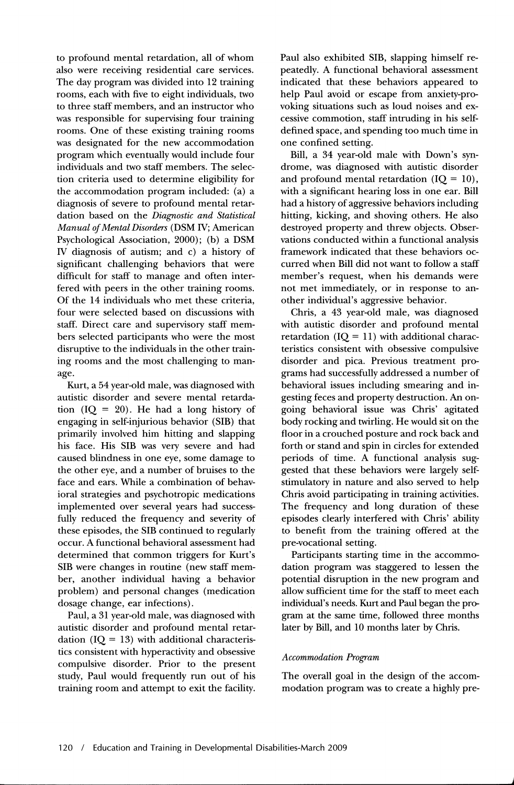to profound mental retardation, all of whom also were receiving residential care services. The day program was divided into 12 training rooms, each with five to eight individuals, two to three staff members, and an instructor who was responsible for supervising four training rooms. One of these existing training rooms was designated for the new accommodation program which eventually would include four individuals and two staff members. The selection criteria used to determine eligibility for the accommodation program included: (a) a diagnosis of severe to profound mental retardation based on the *Diagnostic and Statistical Manual of Mental Disorders* (DSM IV; American Psychological Association, 2000); (b) a DSM IV diagnosis of autism; and c) a history of significant challenging behaviors that were difficult for staff to manage and often interfered with peers in the other training rooms. Of the 14 individuals who met these criteria, four were selected based on discussions with staff. Direct care and supervisory staff members selected participants who were the most disruptive to the individuals in the other training rooms and the most challenging to manage.

Kurt, a 54 year-old male, was diagnosed with autistic disorder and severe mental retardation  $(IQ = 20)$ . He had a long history of engaging in self-injurious behavior (SIB) that primarily involved him hitting and slapping his face. His SIB was very severe and had caused blindness in one eye, some damage to the other eye, and a number of bruises to the face and ears. While a combination of behavioral strategies and psychotropic medications implemented over several years had successfully reduced the frequency and severity of these episodes, the SIB continued to regularly occur. A functional behavioral assessment had determined that common triggers for Kurt's SIB were changes in routine (new staff member, another individual having a behavior problem) and personal changes (medication dosage change, ear infections).

Paul, a 31 year-old male, was diagnosed with autistic disorder and profound mental retardation ( $IQ = 13$ ) with additional characteristics consistent with hyperactivity and obsessive compulsive disorder. Prior to the present study, Paul would frequently run out of his training room and attempt to exit the facility.

Paul also exhibited SIB, slapping himself repeatedly. A functional behavioral assessment indicated that these behaviors appeared to help Paul avoid or escape from anxiety-provoking situations such as loud noises and excessive commotion, staff intruding in his selfdefined space, and spending too much time in one confined setting.

Bill, a 34 year-old male with Down's syndrome, was diagnosed with autistic disorder and profound mental retardation  $(IQ = 10)$ , with a significant hearing loss in one ear. Bill had a history of aggressive behaviors including hitting, kicking, and shoving others. He also destroyed property and threw objects. Observations conducted within a functional analysis framework indicated that these behaviors occurred when Bill did not want to follow a staff member's request, when his demands were not met immediately, or in response to another individual's aggressive behavior.

Chris, a 43 year-old male, was diagnosed with autistic disorder and profound mental retardation ( $IQ = 11$ ) with additional characteristics consistent with obsessive compulsive disorder and pica. Previous treatment programs had successfully addressed a number of behavioral issues including smearing and ingesting feces and property destruction. An ongoing behavioral issue was Chris' agitated body rocking and twirling. He would sit on the floor in a crouched posture and rock back and forth or stand and spin in circles for extended periods of time. A functional analysis suggested that these behaviors were largely selfstimulatory in nature and also served to help Chris avoid participating in training activities. The frequency and long duration of these episodes clearly interfered with Chris' ability to benefit from the training offered at the pre-vocational setting.

Participants starting time in the accommodation program was staggered to lessen the potential disruption in the new program and allow sufficient time for the staff to meet each individual's needs. Kurt and Paul began the program at the same time, followed three months later by Bill, and lO months later by Chris.

## *Accommodation Program*

The overall goal in the design of the accommodation program was to create a highly pre-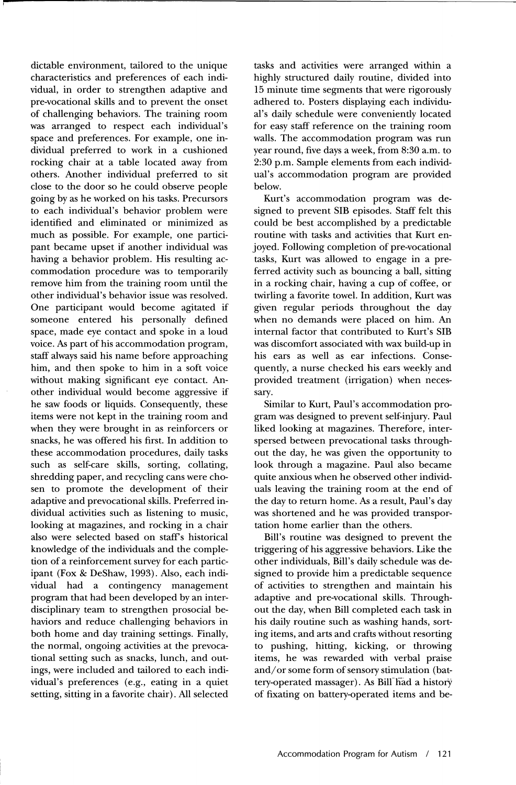dictable environment, tailored to the unique characteristics and preferences of each individual, in order to strengthen adaptive and pre-vocational skills and to prevent the onset of challenging behaviors. The training room was arranged to respect each individual's space and preferences. For example, one individual preferred to work in a cushioned rocking chair at a table located away from others. Another individual preferred to sit close to the door so he could observe people going by as he worked on his tasks. Precursors to each individual's behavior problem were identified and eliminated or minimized as much as possible. For example, one participant became upset if another individual was having a behavior problem. His resulting accommodation procedure was to temporarily remove him from the training room until the other individual's behavior issue was resolved. One participant would become agitated if someone entered his personally defined space, made eye contact and spoke in a loud voice. As part of his accommodation program, staff always said his name before approaching him, and then spoke to him in a soft voice without making significant eye contact. Another individual would become aggressive if he saw foods or liquids. Consequently, these items were not kept in the training room and when they were brought in as reinforcers or snacks, he was offered his first. In addition to these accommodation procedures, daily tasks such as self-care skills, sorting, collating, shredding paper, and recycling cans were chosen to promote the development of their adaptive and prevocational skills. Preferred individual activities such as listening to music, looking at magazines, and rocking in a chair also were selected based on staff's historical knowledge of the individuals and the completion of a reinforcement survey for each participant (Fox & DeShaw, 1993). Also, each individual had a contingency management program that had been developed by an interdisciplinary team to strengthen prosocial behaviors and reduce challenging behaviors in both home and day training settings. Finally, the normal, ongoing activities at the prevocational setting such as snacks, lunch, and outings, were included and tailored to each individual's preferences (e.g., eating in a quiet setting, sitting in a favorite chair). All selected

tasks and activities were arranged within a highly structured daily routine, divided into 15 minute time segments that were rigorously adhered to. Posters displaying each individual's daily schedule were conveniently located for easy staff reference on the training room walls. The accommodation program was run year round, five days a week, from 8:30 a.m. to 2:30 p.m. Sample elements from each individual's accommodation program are provided below.

Kurt's accommodation program was designed to prevent SIB episodes. Staff felt this could be best accomplished by a predictable routine with tasks and activities that Kurt enjoyed. Following completion of pre-vocational tasks, Kurt was allowed to engage in a preferred activity such as bouncing a ball, sitting in a rocking chair, having a cup of coffee, or twirling a favorite towel. In addition, Kurt was given regular periods throughout the day when no demands were placed on him. An internal factor that contributed to Kurt's SIB was discomfort associated with wax build-up in his ears as well as ear infections. Consequently, a nurse checked his ears weekly and provided treatment (irrigation) when necessary.

Similar to Kurt, Paul's accommodation program was designed to prevent self-injury. Paul liked looking at magazines. Therefore, interspersed between prevocational tasks throughout the day, he was given the opportunity to look through a magazine. Paul also became quite anxious when he observed other individuals leaving the training room at the end of the day to return home. As a result, Paul's day was shortened and he was provided transportation home earlier than the others.

Bill's routine was designed to prevent the triggering of his aggressive behaviors. Like the other individuals, Bill's daily schedule was designed to provide him a predictable sequence of activities to strengthen and maintain his adaptive and pre-vocational skills. Throughout the day, when Bill completed each task in his daily routine such as washing hands, sorting items, and arts and crafts without resorting to pushing, hitting, kicking, or throwing items, he was rewarded with verbal praise and/ or some form of sensory stimulation (battery-operated massager). As Bill had a history of fixating on battery-operated items and be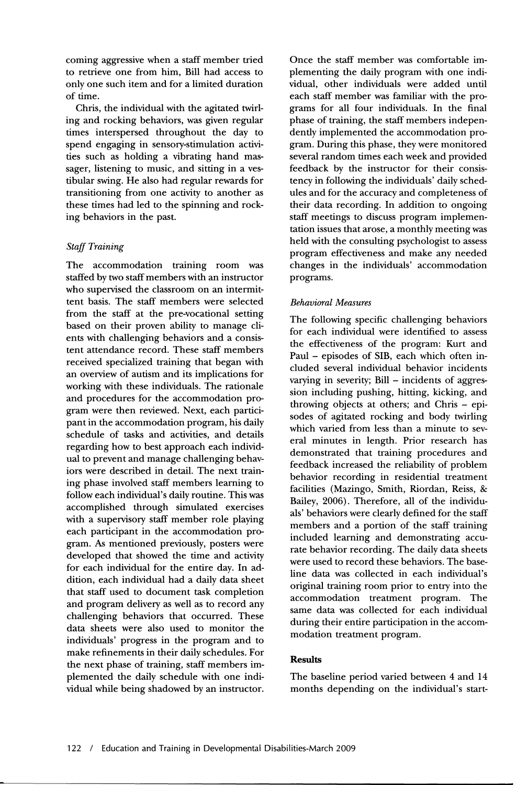coming aggressive when a staff member tried to retrieve one from him, Bill had access to only one such item and for a limited duration of time.

Chris, the individual with the agitated twirling and rocking behaviors, was given regular times interspersed throughout the day to spend engaging in sensory-stimulation activities such as holding a vibrating hand massager, listening to music, and sitting in a vestibular swing. He also had regular rewards for transitioning from one activity to another as these times had led to the spinning and rocking behaviors in the past.

# *Staff Training*

The accommodation training room was staffed by two staff members with an instructor who supervised the classroom on an intermittent basis. The staff members were selected from the staff at the pre-vocational setting based on their proven ability to manage clients with challenging behaviors and a consistent attendance record. These staff members received specialized training that began with an overview of autism and its implications for working with these individuals. The rationale and procedures for the accommodation program were then reviewed. Next, each participant in the accommodation program, his daily schedule of tasks and activities, and details regarding how to best approach each individual to prevent and manage challenging behaviors were described in detail. The next training phase involved staff members learning to follow each individual's daily routine. This was accomplished through simulated exercises with a supervisory staff member role playing each participant in the accommodation program. As mentioned previously, posters were developed that showed the time and activity for each individual for the entire day. In addition, each individual had a daily data sheet that staff used to document task completion and program delivery as well as to record any challenging behaviors that occurred. These data sheets were also used to monitor the individuals' progress in the program and to make refinements in their daily schedules. For the next phase of training, staff members implemented the daily schedule with one individual while being shadowed by an instructor.

Once the staff member was comfortable implementing the daily program with one individual, other individuals were added until each staff member was familiar with the programs for all four individuals. In the final phase of training, the staff members independently implemented the accommodation program. During this phase, they were monitored several random times each week and provided feedback by the instructor for their consistency in following the individuals' daily schedules and for the accuracy and completeness of their data recording. In addition to ongoing staff meetings to discuss program implementation issues that arose, a monthly meeting was held with the consulting psychologist to assess program effectiveness and make any needed changes in the individuals' accommodation programs.

# *Behavioral Measures*

The following specific challenging behaviors for each individual were identified to assess the effectiveness of the program: Kurt and Paul - episodes of SIB, each which often included several individual behavior incidents varying in severity;  $Bill$  – incidents of aggression including pushing, hitting, kicking, and throwing objects at others; and Chris - episodes of agitated rocking and body twirling which varied from less than a minute to several minutes in length. Prior research has demonstrated that training procedures and feedback increased the reliability of problem behavior recording in residential treatment facilities (Mazingo, Smith, Riordan, Reiss, & Bailey, 2006). Therefore, all of the individuals' behaviors were clearly defined for the staff members and a portion of the staff training included learning and demonstrating accurate behavior recording. The daily data sheets were used to record these behaviors. The baseline data was collected in each individual's original training room prior to entry into the accommodation treatment program. The same data was collected for each individual during their entire participation in the accommodation treatment program.

# **Results**

The baseline period varied between 4 and 14 months depending on the individual's start-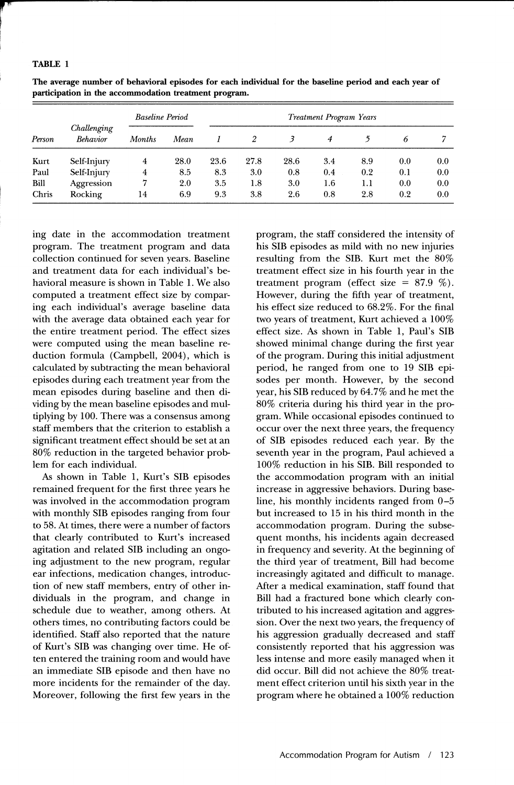#### TABLE 1

| Person | Challenging<br>Behavior | <b>Baseline Period</b> |      | <b>Treatment Program Years</b> |      |      |     |     |     |     |
|--------|-------------------------|------------------------|------|--------------------------------|------|------|-----|-----|-----|-----|
|        |                         | <b>Months</b>          | Mean |                                | 2    |      | 4   |     | 6   |     |
| Kurt   | Self-Injury             | 4                      | 28.0 | 23.6                           | 27.8 | 28.6 | 3.4 | 8.9 | 0.0 | 0.0 |
| Paul   | Self-Injury             | 4                      | 8.5  | 8.3                            | 3.0  | 0.8  | 0.4 | 0.2 | 0.1 | 0.0 |
| Bill   | Aggression              | 7                      | 2.0  | 3.5                            | 1.8  | 3.0  | 1.6 | 1.1 | 0.0 | 0.0 |
| Chris  | Rocking                 | 14                     | 6.9  | 9.3                            | 3.8  | 2.6  | 0.8 | 2.8 | 0.2 | 0.0 |

The average number of behavioral episodes for each individual for the baseline period and each year of participation in the accommodation treatment program.

ing date in the accommodation treatment program. The treatment program and data collection continued for seven years. Baseline and treatment data for each individual's behavioral measure is shown in Table 1. We also computed a treatment effect size by comparing each individual's average baseline data with the average data obtained each year for the entire treatment period. The effect sizes were computed using the mean baseline reduction formula (Campbell, 2004), which is calculated by subtracting the mean behavioral episodes during each treatment year from the mean episodes during baseline and then dividing by the mean baseline episodes and multiplying by 100. There was a consensus among staff members that the criterion to establish a significant treatment effect should be set at an 80% reduction in the targeted behavior problem for each individual.

As shown in Table 1, Kurt's SIB episodes remained frequent for the first three years he was involved in the accommodation program with monthly SIB episodes ranging from four to 58. At times, there were a number of factors that clearly contributed to Kurt's increased agitation and related SIB including an ongoing adjustment to the new program, regular ear infections, medication changes, introduction of new staff members, entry of other individuals in the program, and change in schedule due to weather, among others. At others times, no contributing factors could be identified. Staff also reported that the nature of Kurt's SIB was changing over time. He often entered the training room and would have an immediate SIB episode and then have no more incidents for the remainder of the day. Moreover, following the first few years in the program, the staff considered the intensity of his SIB episodes as mild with no new injuries resulting from the SIB. Kurt met the 80% treatment effect size in his fourth year in the treatment program (effect size =  $87.9\%$ ). However, during the fifth year of treatment, his effect size reduced to 68.2%. For the final two years of treatment, Kurt achieved a 100% effect size. As shown in Table 1, Paul's SIB showed minimal change during the first year of the program. During this initial adjustment period, he ranged from one to 19 SIB episodes per month. However, by the second year, his SIB reduced by 64.7% and he met the 80% criteria during his third year in the program. While occasional episodes continued to occur over the next three years, the frequency of SIB episodes reduced each year. By the seventh year in the program, Paul achieved a 100% reduction in his SIB. Bill responded to the accommodation program with an initial increase in aggressive behaviors. During baseline, his monthly incidents ranged from 0-5 but increased to 15 in his third month in the accommodation program. During the subsequent months, his incidents again decreased in frequency and severity. At the beginning of the third year of treatment, Bill had become increasingly agitated and difficult to manage. Mter a medical examination, staff found that Bill had a fractured bone which clearly contributed to his increased agitation and aggression. Over the next two years, the frequency of his aggression gradually decreased and staff consistently reported that his aggression was less intense and more easily managed when it did occur. Bill did not achieve the 80% treatment effect criterion until his sixth year in the program where he obtained a 100% reduction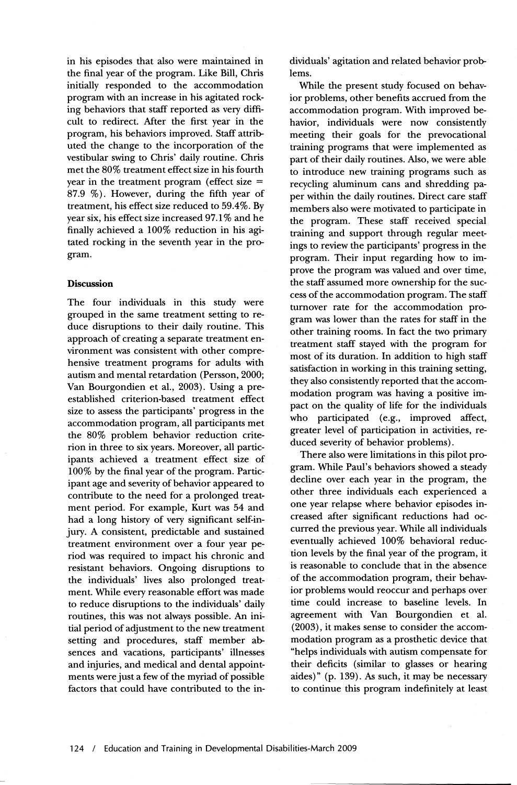in his episodes that also were maintained in the final year of the program. Like Bill, Chris initially responded to the accommodation program with an increase in his agitated rocking behaviors that staff reported as very difficult to redirect. After the first year in the program, his behaviors improved. Staff attributed the change to the incorporation of the vestibular swing to Chris' daily routine. Chris met the 80% treatment effect size in his fourth year in the treatment program (effect size  $=$ 87.9 %). However, during the fifth year of treatment, his effect size reduced to 59.4%. By year six, his effect size increased 97.1 % and he finally achieved a 100% reduction in his agitated rocking in the seventh year in the program.

## **Discussion**

The four individuals in this study were grouped in the same treatment setting to reduce disruptions to their daily routine. This approach of creating a separate treatment environment was consistent with other comprehensive treatment programs for adults with autism and mental retardation (Persson, 2000; Van Bourgondien et aI., 2003). Using a preestablished criterion-based treatment effect size to assess the participants' progress in the accommodation program, all participants met the 80% problem behavior reduction criterion in three to six years. Moreover, all participants achieved a treatment effect size of 100% by the final year of the program. Participant age and severity of behavior appeared to contribute to the need for a prolonged treatment period. For example, Kurt was 54 and had a long history of very significant self-injury. A consistent, predictable and sustained treatment environment over a four year period was required to impact his chronic and resistant behaviors. Ongoing disruptions to the individuals' lives also prolonged treatment. While every reasonable effort was made to reduce disruptions to the individuals' daily routines, this was not always possible. An initial period of adjustment to the new treatment setting and procedures, staff member absences and vacations, participants' illnesses and injuries, and medical and dental appointments were just a few of the myriad of possible factors that could have contributed to the individuals' agitation and related behavior problems.

While the present study focused on behavior problems, other benefits accrued from the accommodation program. With improved behavior, individuals were now consistently meeting their goals for the prevocational training programs that were implemented as part of their daily routines. Also, we were able to introduce new training programs such as recycling aluminum cans and shredding paper within the daily routines. Direct care staff members also were motivated to participate in the program. These staff received special training and support through regular meetings to review the participants' progress in the program. Their input regarding how to improve the program was valued and over time, the staff assumed more ownership for the success of the accommodation program. The staff turnover rate for the accommodation program was lower than the rates for staff in the other training rooms. In fact the two primary treatment staff stayed with the program for most of its duration. In addition to high staff satisfaction in working in this training setting, they also consistently reported that the accommodation program was having a positive impact on the quality of life for the individuals who participated (e.g., improved affect, greater level of participation in activities, reduced severity of behavior problems).

There also were limitations in this pilot program. While Paul's behaviors showed a steady decline over each year in the program, the other three individuals each experienced a one year relapse where behavior episodes increased after significant reductions had occurred the previous year. While all individuals eventually achieved 100% behavioral reduction levels by the final year of the program, it is reasonable to conclude that in the absence of the accommodation program, their behavior problems would reoccur and perhaps over time could increase to baseline levels. In agreement with Van Bourgondien et ai. (2003), it makes sense to consider the accommodation program as a prosthetic device that "helps individuals with autism compensate for their deficits (similar to glasses or hearing aides)" (p. 139). As such, it may be necessary to continue this program indefinitely at least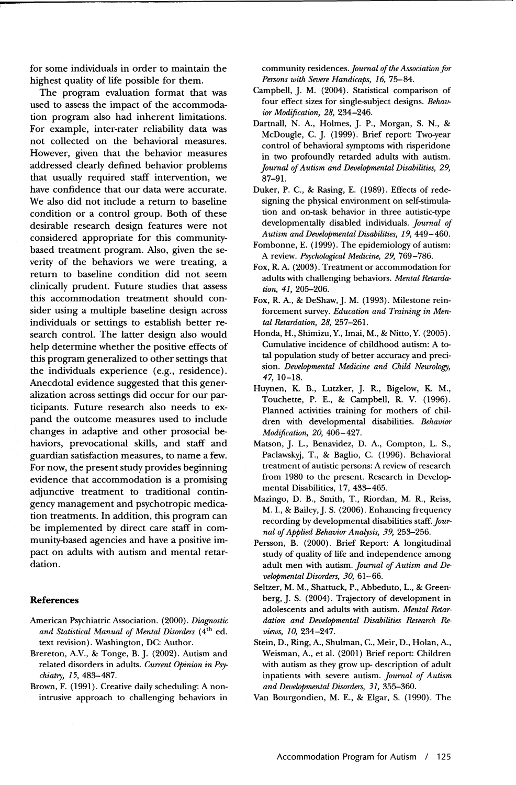for some individuals in order to maintain the highest quality of life possible for them.

The program evaluation format that was used to assess the impact of the accommodation program also had inherent limitations. For example, inter-rater reliability data was not collected on the behavioral measures. However, given that the behavior measures addressed clearly defined behavior problems that usually required staff intervention, we have confidence that our data were accurate. We also did not include a return to baseline condition or a control group. Both of these desirable research design features were not considered appropriate for this communitybased treatment program. Also, given the severity of the behaviors we were treating, a return to baseline condition did not seem clinically prudent. Future studies that assess this accommodation treatment should consider using a multiple baseline design across individuals or settings to establish better research control. The latter design also would help determine whether the positive effects of this program generalized to other settings that the individuals experience (e.g., residence). Anecdotal evidence suggested that this generalization across settings did occur for our participants. Future research also needs to expand the outcome measures used to include changes in adaptive and other prosocial behaviors, prevocational skills, and staff and guardian satisfaction measures, to name a few. For now, the present study provides beginning evidence that accommodation is a promising adjunctive treatment to traditional contingency management and psychotropic medication treatments. In addition, this program can be implemented by direct care staff in community-based agencies and have a positive impact on adults with autism and mental retardation.

#### **References**

- American Psychiatric Association. (2000). *Diagnostic and Statistical Manual of Mental Disorders* (4th ed. text revision). Washington, DC: Author.
- Brereton, AV., & Tonge, B.]. (2002). Autism and related disorders in adults. *Current opinion in Psychiatry,* 15, 483-487.
- Brown, F. (1991). Creative daily scheduling: A nonintrusive approach to challenging behaviors in

community residences. *Journal of the Association for Persons with Severe Handicaps,* 16, 75-84.

- Campbell,]. M. (2004). Statistical comparison of four effect sizes for single-subject designs. *Behavior Modification,* 28, 234-246.
- Dartnall, N. A, Holmes, ]. P., Morgan, S. N., & McDougle, C.]. (1999). Brief report: Two-year control of behavioral symptoms with risperidone in two profoundly retarded adults with autism. *Journal of Autism and Developmental Disabilities, 29,*  87-91.
- Duker, P. C., & Rasing, E. (1989). Effects of redesigning the physical environment on self-stimulation and on-task behavior in three autistic-type developmentally disabled individuals. *Journal of A utism and Developmental Disabilities,* 19, 449 - 460.
- Fombonne, E. (1999). The epidemiology of autism: A review. *Psychological Medicine,* 29, 769-786.
- Fox, R. A. (2003). Treatment or accommodation for adults with challenging behaviors. *Mental Retardation,* 41, 205-206.
- Fox, R. A, & DeShaw,]. M. (1993). Milestone reinforcement survey. *Education and Training in Mental Retardation,* 28, 257-261.
- Honda, H., Shimizu, Y., Imai, M., & Nitto, Y. (2005). Cumulative incidence of childhood autism: A total population study of better accuracy and precision. *Developmental Medicine and Child Neurology,*  47, 10-18.
- Huynen, K. B., Lutzker, ]. R, Bigelow, K. M., Touchette, P. E., & Campbell, R. V. (1996). Planned activities training for mothers of children with developmental disabilities. *Behavior Modification, 20, 406-427.*
- Matson, ]. L., Benavidez, D. A, Compton, L. S., Paclawskyj, T., & Baglio, C. (1996). Behavioral treatment of autistic persons: A review of research from 1980 to the present. Research in Developmental Disabilities, 17, 433-465.
- Mazingo, D. B., Smith, T., Riordan, M. R, Reiss, M. I., & Bailey,]. S. (2006). Enhancing frequency recording by developmental disabilities staff. *Journal of Applied Behavior Analysis,* 39, 253-256.
- Persson, B. (2000). Brief Report: A longitudinal study of quality of life and independence among adult men with autism. *Journal of Autism and Developmental Disorders, 30,* 61-66.
- Seltzer, M. M., Shattuck, P., Abbeduto, L., & Greenberg,]. S. (2004). Trajectory of development in adolescents and adults with autism. *Mental Retardation and Developmental Disabilities Research* Re*views, 10, 234-247.*
- Stein, D., Ring, A, Shulman, C., Meir, D., Holan, A, Weisman, A, et al. (2001) Brief report: Children with autism as they grow up- description of adult inpatients with severe autism. *Journal of Autism and Developmental Disorders,* 31, 355-360.
- Van Bourgondien, M. E., & Elgar, S. (1990). The